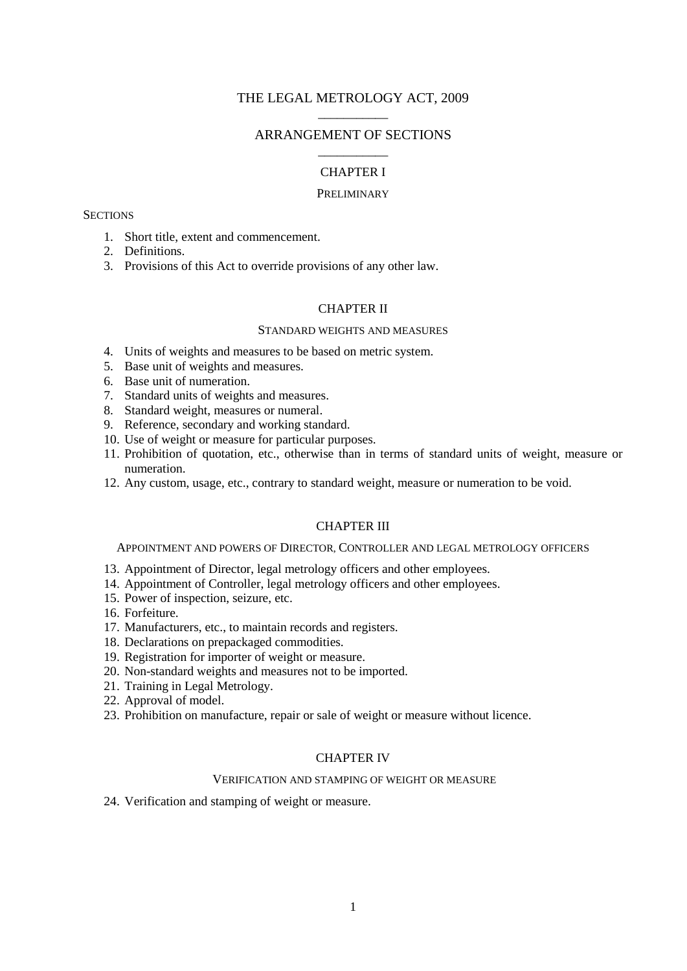# THE LEGAL METROLOGY ACT, 2009 \_\_\_\_\_\_\_\_\_\_\_

# ARRANGEMENT OF SECTIONS \_\_\_\_\_\_\_\_\_\_\_

## CHAPTER I

#### PRELIMINARY

## **SECTIONS**

- 1. Short title, extent and commencement.
- 2. Definitions.
- 3. Provisions of this Act to override provisions of any other law.

## CHAPTER II

### STANDARD WEIGHTS AND MEASURES

- 4. Units of weights and measures to be based on metric system.
- 5. Base unit of weights and measures.
- 6. Base unit of numeration.
- 7. Standard units of weights and measures.
- 8. Standard weight, measures or numeral.
- 9. Reference, secondary and working standard.
- 10. Use of weight or measure for particular purposes.
- 11. Prohibition of quotation, etc., otherwise than in terms of standard units of weight, measure or numeration.
- 12. Any custom, usage, etc., contrary to standard weight, measure or numeration to be void.

## CHAPTER III

APPOINTMENT AND POWERS OF DIRECTOR, CONTROLLER AND LEGAL METROLOGY OFFICERS

- 13. Appointment of Director, legal metrology officers and other employees.
- 14. Appointment of Controller, legal metrology officers and other employees.
- 15. Power of inspection, seizure, etc.
- 16. Forfeiture.
- 17. Manufacturers, etc., to maintain records and registers.
- 18. Declarations on prepackaged commodities.
- 19. Registration for importer of weight or measure.
- 20. Non-standard weights and measures not to be imported.
- 21. Training in Legal Metrology.
- 22. Approval of model.
- 23. Prohibition on manufacture, repair or sale of weight or measure without licence.

## CHAPTER IV

### VERIFICATION AND STAMPING OF WEIGHT OR MEASURE

24. Verification and stamping of weight or measure.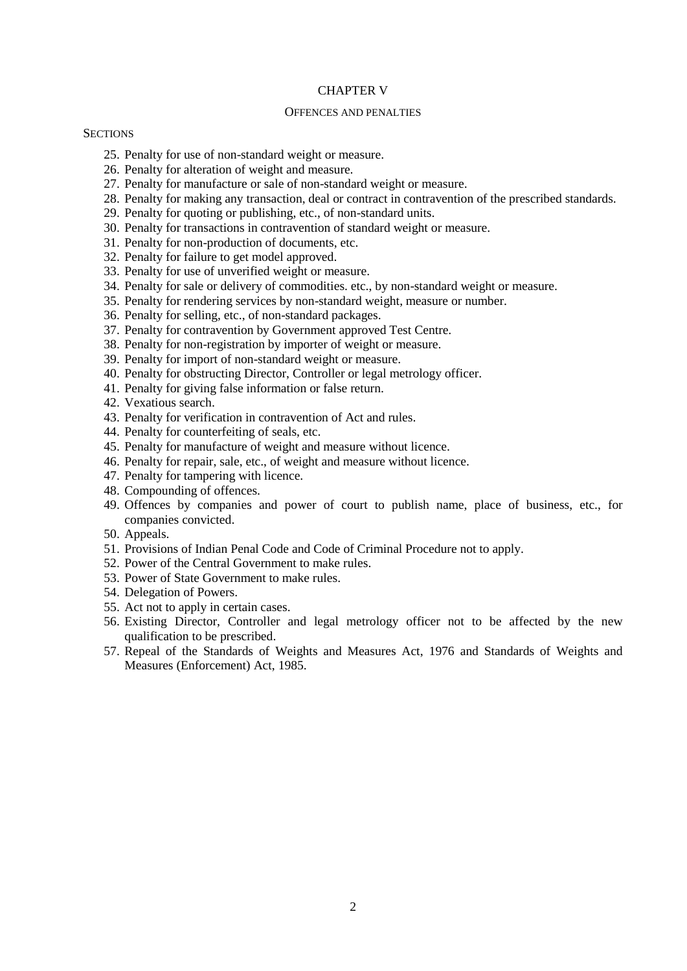### CHAPTER V

## OFFENCES AND PENALTIES

## **SECTIONS**

- 25. Penalty for use of non-standard weight or measure.
- 26. Penalty for alteration of weight and measure.
- 27. Penalty for manufacture or sale of non-standard weight or measure.
- 28. Penalty for making any transaction, deal or contract in contravention of the prescribed standards.
- 29. Penalty for quoting or publishing, etc., of non-standard units.
- 30. Penalty for transactions in contravention of standard weight or measure.
- 31. Penalty for non-production of documents, etc.
- 32. Penalty for failure to get model approved.
- 33. Penalty for use of unverified weight or measure.
- 34. Penalty for sale or delivery of commodities. etc., by non-standard weight or measure.
- 35. Penalty for rendering services by non-standard weight, measure or number.
- 36. Penalty for selling, etc., of non-standard packages.
- 37. Penalty for contravention by Government approved Test Centre.
- 38. Penalty for non-registration by importer of weight or measure.
- 39. Penalty for import of non-standard weight or measure.
- 40. Penalty for obstructing Director, Controller or legal metrology officer.
- 41. Penalty for giving false information or false return.
- 42. Vexatious search.
- 43. Penalty for verification in contravention of Act and rules.
- 44. Penalty for counterfeiting of seals, etc.
- 45. Penalty for manufacture of weight and measure without licence.
- 46. Penalty for repair, sale, etc., of weight and measure without licence.
- 47. Penalty for tampering with licence.
- 48. Compounding of offences.
- 49. Offences by companies and power of court to publish name, place of business, etc., for companies convicted.
- 50. Appeals.
- 51. Provisions of Indian Penal Code and Code of Criminal Procedure not to apply.
- 52. Power of the Central Government to make rules.
- 53. Power of State Government to make rules.
- 54. Delegation of Powers.
- 55. Act not to apply in certain cases.
- 56. Existing Director, Controller and legal metrology officer not to be affected by the new qualification to be prescribed.
- 57. Repeal of the Standards of Weights and Measures Act, 1976 and Standards of Weights and Measures (Enforcement) Act, 1985.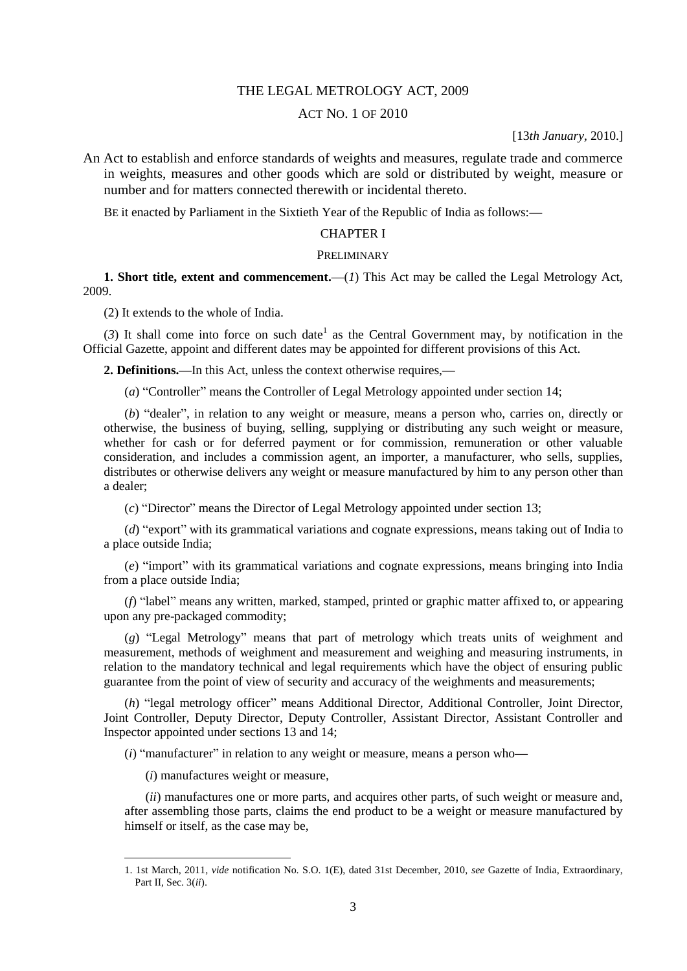## THE LEGAL METROLOGY ACT, 2009

# ACT NO. 1 OF 2010

### [13*th January,* 2010.]

An Act to establish and enforce standards of weights and measures, regulate trade and commerce in weights, measures and other goods which are sold or distributed by weight, measure or number and for matters connected therewith or incidental thereto.

BE it enacted by Parliament in the Sixtieth Year of the Republic of India as follows:**—**

# CHAPTER I

#### PRELIMINARY

**1. Short title, extent and commencement.—**(*1*) This Act may be called the Legal Metrology Act, 2009.

(2) It extends to the whole of India.

 $(3)$  It shall come into force on such date<sup>1</sup> as the Central Government may, by notification in the Official Gazette, appoint and different dates may be appointed for different provisions of this Act.

**2. Definitions.—**In this Act, unless the context otherwise requires,**—**

(*a*) "Controller" means the Controller of Legal Metrology appointed under section 14;

(*b*) "dealer", in relation to any weight or measure, means a person who, carries on, directly or otherwise, the business of buying, selling, supplying or distributing any such weight or measure, whether for cash or for deferred payment or for commission, remuneration or other valuable consideration, and includes a commission agent, an importer, a manufacturer, who sells, supplies, distributes or otherwise delivers any weight or measure manufactured by him to any person other than a dealer;

(*c*) "Director" means the Director of Legal Metrology appointed under section 13;

(*d*) "export" with its grammatical variations and cognate expressions, means taking out of India to a place outside India;

(*e*) "import" with its grammatical variations and cognate expressions, means bringing into India from a place outside India;

(*f*) "label" means any written, marked, stamped, printed or graphic matter affixed to, or appearing upon any pre-packaged commodity;

(*g*) "Legal Metrology" means that part of metrology which treats units of weighment and measurement, methods of weighment and measurement and weighing and measuring instruments, in relation to the mandatory technical and legal requirements which have the object of ensuring public guarantee from the point of view of security and accuracy of the weighments and measurements;

(*h*) "legal metrology officer" means Additional Director, Additional Controller, Joint Director, Joint Controller, Deputy Director, Deputy Controller, Assistant Director, Assistant Controller and Inspector appointed under sections 13 and 14;

(*i*) "manufacturer" in relation to any weight or measure, means a person who**—**

(*i*) manufactures weight or measure,

1

(*ii*) manufactures one or more parts, and acquires other parts, of such weight or measure and, after assembling those parts, claims the end product to be a weight or measure manufactured by himself or itself, as the case may be,

<sup>1. 1</sup>st March, 2011, *vide* notification No. S.O. 1(E), dated 31st December, 2010, *see* Gazette of India, Extraordinary, Part II, Sec. 3(*ii*).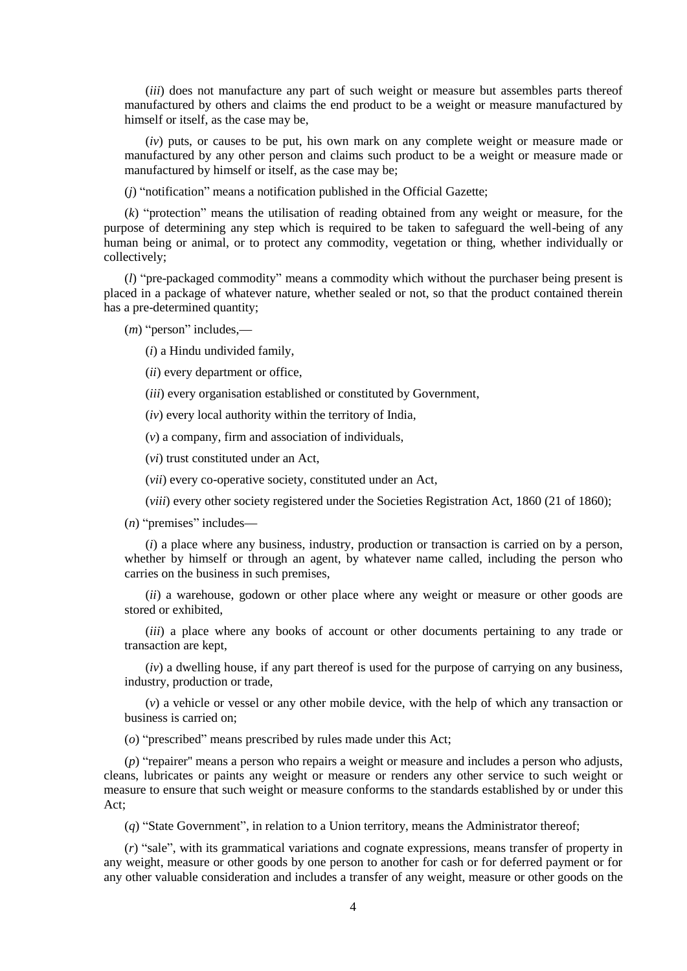(*iii*) does not manufacture any part of such weight or measure but assembles parts thereof manufactured by others and claims the end product to be a weight or measure manufactured by himself or itself, as the case may be,

(*iv*) puts, or causes to be put, his own mark on any complete weight or measure made or manufactured by any other person and claims such product to be a weight or measure made or manufactured by himself or itself, as the case may be;

(*j*) "notification" means a notification published in the Official Gazette;

(*k*) "protection" means the utilisation of reading obtained from any weight or measure, for the purpose of determining any step which is required to be taken to safeguard the well-being of any human being or animal, or to protect any commodity, vegetation or thing, whether individually or collectively;

(*l*) "pre-packaged commodity" means a commodity which without the purchaser being present is placed in a package of whatever nature, whether sealed or not, so that the product contained therein has a pre-determined quantity;

(*m*) "person" includes,**—**

(*i*) a Hindu undivided family,

(*ii*) every department or office,

(*iii*) every organisation established or constituted by Government,

(*iv*) every local authority within the territory of India,

(*v*) a company, firm and association of individuals,

(*vi*) trust constituted under an Act,

(*vii*) every co-operative society, constituted under an Act,

(*viii*) every other society registered under the Societies Registration Act, 1860 (21 of 1860);

(*n*) "premises" includes**—**

(*i*) a place where any business, industry, production or transaction is carried on by a person, whether by himself or through an agent, by whatever name called, including the person who carries on the business in such premises,

(*ii*) a warehouse, godown or other place where any weight or measure or other goods are stored or exhibited,

(*iii*) a place where any books of account or other documents pertaining to any trade or transaction are kept,

(*iv*) a dwelling house, if any part thereof is used for the purpose of carrying on any business, industry, production or trade,

(*v*) a vehicle or vessel or any other mobile device, with the help of which any transaction or business is carried on;

(*o*) "prescribed" means prescribed by rules made under this Act;

(*p*) "repairer'' means a person who repairs a weight or measure and includes a person who adjusts, cleans, lubricates or paints any weight or measure or renders any other service to such weight or measure to ensure that such weight or measure conforms to the standards established by or under this Act;

(*q*) "State Government", in relation to a Union territory, means the Administrator thereof;

(*r*) "sale", with its grammatical variations and cognate expressions, means transfer of property in any weight, measure or other goods by one person to another for cash or for deferred payment or for any other valuable consideration and includes a transfer of any weight, measure or other goods on the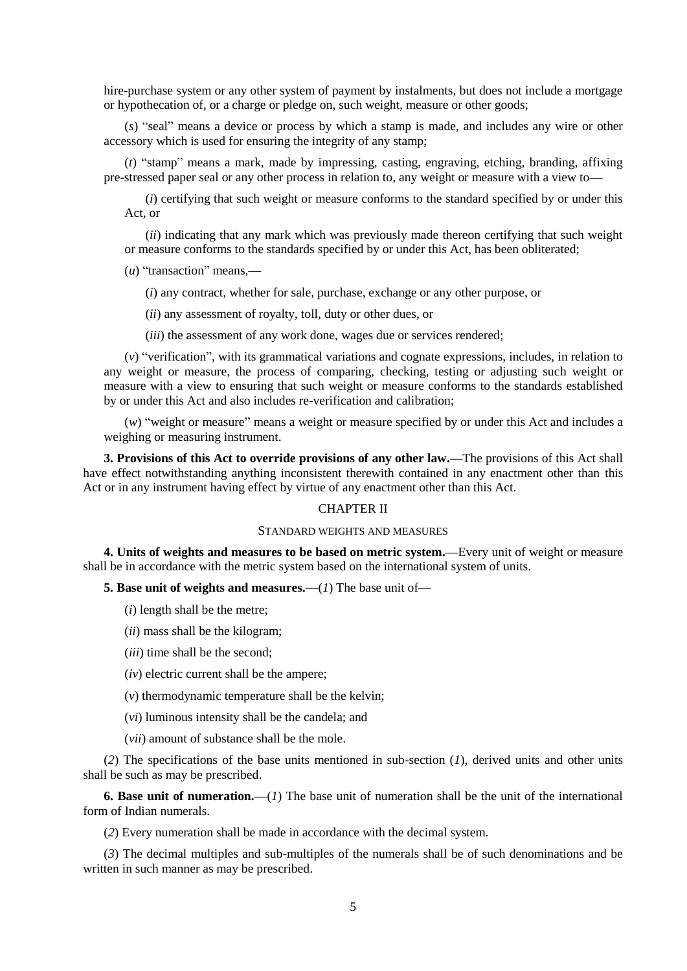hire-purchase system or any other system of payment by instalments, but does not include a mortgage or hypothecation of, or a charge or pledge on, such weight, measure or other goods;

(*s*) "seal" means a device or process by which a stamp is made, and includes any wire or other accessory which is used for ensuring the integrity of any stamp;

(*t*) "stamp" means a mark, made by impressing, casting, engraving, etching, branding, affixing pre-stressed paper seal or any other process in relation to, any weight or measure with a view to**—**

(*i*) certifying that such weight or measure conforms to the standard specified by or under this Act, or

(*ii*) indicating that any mark which was previously made thereon certifying that such weight or measure conforms to the standards specified by or under this Act, has been obliterated;

(*u*) "transaction" means,**—**

(*i*) any contract, whether for sale, purchase, exchange or any other purpose, or

(*ii*) any assessment of royalty, toll, duty or other dues, or

(*iii*) the assessment of any work done, wages due or services rendered;

(*v*) "verification", with its grammatical variations and cognate expressions, includes, in relation to any weight or measure, the process of comparing, checking, testing or adjusting such weight or measure with a view to ensuring that such weight or measure conforms to the standards established by or under this Act and also includes re-verification and calibration;

(*w*) "weight or measure" means a weight or measure specified by or under this Act and includes a weighing or measuring instrument.

**3. Provisions of this Act to override provisions of any other law.—**The provisions of this Act shall have effect notwithstanding anything inconsistent therewith contained in any enactment other than this Act or in any instrument having effect by virtue of any enactment other than this Act.

## CHAPTER II

### STANDARD WEIGHTS AND MEASURES

**4. Units of weights and measures to be based on metric system.—**Every unit of weight or measure shall be in accordance with the metric system based on the international system of units.

**5. Base unit of weights and measures.—**(*1*) The base unit of**—**

(*i*) length shall be the metre;

- (*ii*) mass shall be the kilogram;
- (*iii*) time shall be the second;
- (*iv*) electric current shall be the ampere;
- (*v*) thermodynamic temperature shall be the kelvin;
- (*vi*) luminous intensity shall be the candela; and
- (*vii*) amount of substance shall be the mole.

(*2*) The specifications of the base units mentioned in sub-section (*1*), derived units and other units shall be such as may be prescribed.

**6. Base unit of numeration.—**(*1*) The base unit of numeration shall be the unit of the international form of Indian numerals.

(*2*) Every numeration shall be made in accordance with the decimal system.

(*3*) The decimal multiples and sub-multiples of the numerals shall be of such denominations and be written in such manner as may be prescribed.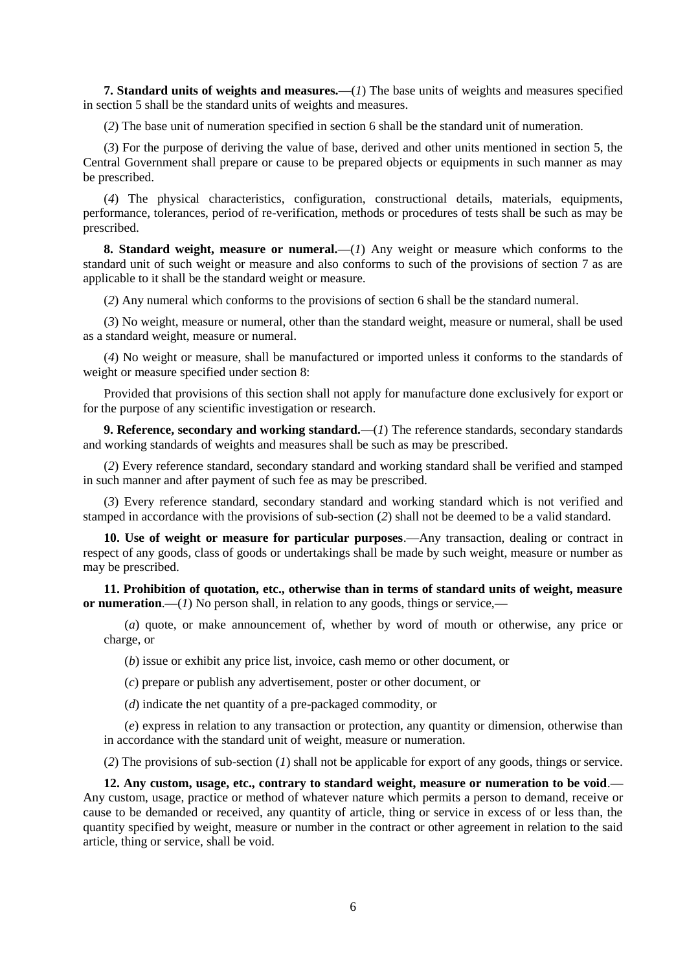**7. Standard units of weights and measures.—**(*1*) The base units of weights and measures specified in section 5 shall be the standard units of weights and measures.

(*2*) The base unit of numeration specified in section 6 shall be the standard unit of numeration.

(*3*) For the purpose of deriving the value of base, derived and other units mentioned in section 5, the Central Government shall prepare or cause to be prepared objects or equipments in such manner as may be prescribed.

(*4*) The physical characteristics, configuration, constructional details, materials, equipments, performance, tolerances, period of re-verification, methods or procedures of tests shall be such as may be prescribed.

**8. Standard weight, measure or numeral.**—(*I*) Any weight or measure which conforms to the standard unit of such weight or measure and also conforms to such of the provisions of section 7 as are applicable to it shall be the standard weight or measure.

(*2*) Any numeral which conforms to the provisions of section 6 shall be the standard numeral.

(*3*) No weight, measure or numeral, other than the standard weight, measure or numeral, shall be used as a standard weight, measure or numeral.

(*4*) No weight or measure, shall be manufactured or imported unless it conforms to the standards of weight or measure specified under section 8:

Provided that provisions of this section shall not apply for manufacture done exclusively for export or for the purpose of any scientific investigation or research.

**9. Reference, secondary and working standard.—**(*1*) The reference standards, secondary standards and working standards of weights and measures shall be such as may be prescribed.

(*2*) Every reference standard, secondary standard and working standard shall be verified and stamped in such manner and after payment of such fee as may be prescribed.

(*3*) Every reference standard, secondary standard and working standard which is not verified and stamped in accordance with the provisions of sub-section (*2*) shall not be deemed to be a valid standard.

**10. Use of weight or measure for particular purposes**.**—**Any transaction, dealing or contract in respect of any goods, class of goods or undertakings shall be made by such weight, measure or number as may be prescribed.

**11. Prohibition of quotation, etc., otherwise than in terms of standard units of weight, measure or numeration**.**—**(*1*) No person shall, in relation to any goods, things or service,**—**

(*a*) quote, or make announcement of, whether by word of mouth or otherwise, any price or charge, or

(*b*) issue or exhibit any price list, invoice, cash memo or other document, or

(*c*) prepare or publish any advertisement, poster or other document, or

(*d*) indicate the net quantity of a pre-packaged commodity, or

(*e*) express in relation to any transaction or protection, any quantity or dimension, otherwise than in accordance with the standard unit of weight, measure or numeration.

(*2*) The provisions of sub-section (*1*) shall not be applicable for export of any goods, things or service.

**12. Any custom, usage, etc., contrary to standard weight, measure or numeration to be void**.**—** Any custom, usage, practice or method of whatever nature which permits a person to demand, receive or cause to be demanded or received, any quantity of article, thing or service in excess of or less than, the quantity specified by weight, measure or number in the contract or other agreement in relation to the said article, thing or service, shall be void.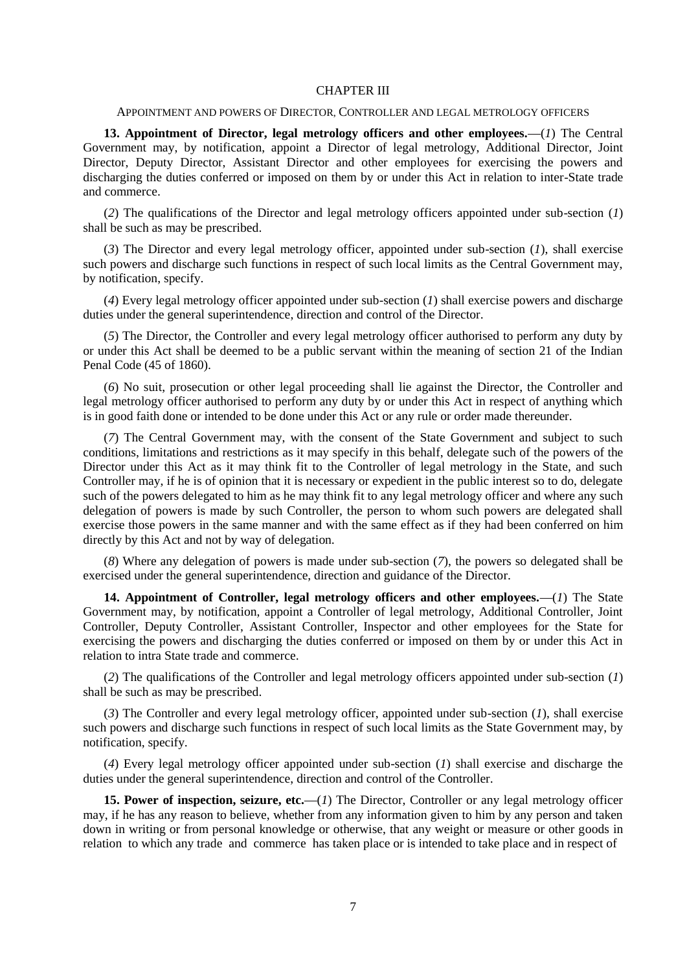#### CHAPTER III

## APPOINTMENT AND POWERS OF DIRECTOR, CONTROLLER AND LEGAL METROLOGY OFFICERS

**13. Appointment of Director, legal metrology officers and other employees.—**(*1*) The Central Government may, by notification, appoint a Director of legal metrology, Additional Director, Joint Director, Deputy Director, Assistant Director and other employees for exercising the powers and discharging the duties conferred or imposed on them by or under this Act in relation to inter-State trade and commerce.

(*2*) The qualifications of the Director and legal metrology officers appointed under sub-section (*1*) shall be such as may be prescribed.

(*3*) The Director and every legal metrology officer, appointed under sub-section (*1*), shall exercise such powers and discharge such functions in respect of such local limits as the Central Government may, by notification, specify.

(*4*) Every legal metrology officer appointed under sub-section (*1*) shall exercise powers and discharge duties under the general superintendence, direction and control of the Director.

(*5*) The Director, the Controller and every legal metrology officer authorised to perform any duty by or under this Act shall be deemed to be a public servant within the meaning of section 21 of the Indian Penal Code (45 of 1860).

(*6*) No suit, prosecution or other legal proceeding shall lie against the Director, the Controller and legal metrology officer authorised to perform any duty by or under this Act in respect of anything which is in good faith done or intended to be done under this Act or any rule or order made thereunder.

(*7*) The Central Government may, with the consent of the State Government and subject to such conditions, limitations and restrictions as it may specify in this behalf, delegate such of the powers of the Director under this Act as it may think fit to the Controller of legal metrology in the State, and such Controller may, if he is of opinion that it is necessary or expedient in the public interest so to do, delegate such of the powers delegated to him as he may think fit to any legal metrology officer and where any such delegation of powers is made by such Controller, the person to whom such powers are delegated shall exercise those powers in the same manner and with the same effect as if they had been conferred on him directly by this Act and not by way of delegation.

(*8*) Where any delegation of powers is made under sub-section (*7*), the powers so delegated shall be exercised under the general superintendence, direction and guidance of the Director.

**14. Appointment of Controller, legal metrology officers and other employees.—**(*1*) The State Government may, by notification, appoint a Controller of legal metrology, Additional Controller, Joint Controller, Deputy Controller, Assistant Controller, Inspector and other employees for the State for exercising the powers and discharging the duties conferred or imposed on them by or under this Act in relation to intra State trade and commerce.

(*2*) The qualifications of the Controller and legal metrology officers appointed under sub-section (*1*) shall be such as may be prescribed.

(*3*) The Controller and every legal metrology officer, appointed under sub-section (*1*), shall exercise such powers and discharge such functions in respect of such local limits as the State Government may, by notification, specify.

(*4*) Every legal metrology officer appointed under sub-section (*1*) shall exercise and discharge the duties under the general superintendence, direction and control of the Controller.

**15. Power of inspection, seizure, etc.—(1) The Director, Controller or any legal metrology officer** may, if he has any reason to believe, whether from any information given to him by any person and taken down in writing or from personal knowledge or otherwise, that any weight or measure or other goods in relation to which any trade and commerce has taken place or is intended to take place and in respect of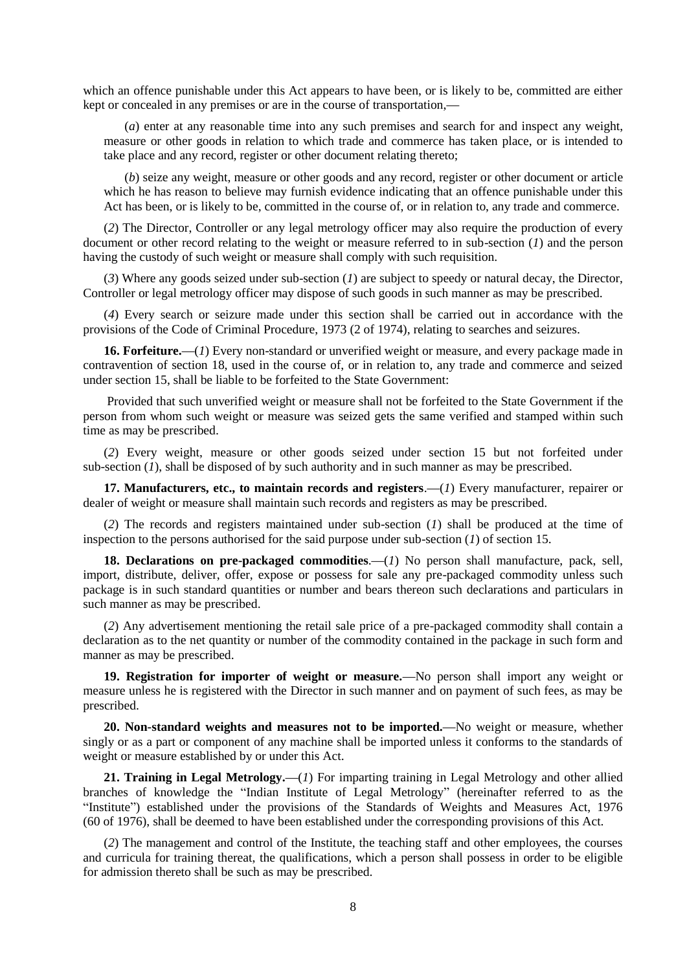which an offence punishable under this Act appears to have been, or is likely to be, committed are either kept or concealed in any premises or are in the course of transportation,**—**

(*a*) enter at any reasonable time into any such premises and search for and inspect any weight, measure or other goods in relation to which trade and commerce has taken place, or is intended to take place and any record, register or other document relating thereto;

(*b*) seize any weight, measure or other goods and any record, register or other document or article which he has reason to believe may furnish evidence indicating that an offence punishable under this Act has been, or is likely to be, committed in the course of, or in relation to, any trade and commerce.

(*2*) The Director, Controller or any legal metrology officer may also require the production of every document or other record relating to the weight or measure referred to in sub-section (*1*) and the person having the custody of such weight or measure shall comply with such requisition.

(*3*) Where any goods seized under sub-section (*1*) are subject to speedy or natural decay, the Director, Controller or legal metrology officer may dispose of such goods in such manner as may be prescribed.

(*4*) Every search or seizure made under this section shall be carried out in accordance with the provisions of the Code of Criminal Procedure, 1973 (2 of 1974), relating to searches and seizures.

**16. Forfeiture.—**(*1*) Every non-standard or unverified weight or measure, and every package made in contravention of section 18, used in the course of, or in relation to, any trade and commerce and seized under section 15, shall be liable to be forfeited to the State Government:

Provided that such unverified weight or measure shall not be forfeited to the State Government if the person from whom such weight or measure was seized gets the same verified and stamped within such time as may be prescribed.

(*2*) Every weight, measure or other goods seized under section 15 but not forfeited under sub-section (*1*), shall be disposed of by such authority and in such manner as may be prescribed.

**17. Manufacturers, etc., to maintain records and registers**.**—**(*1*) Every manufacturer, repairer or dealer of weight or measure shall maintain such records and registers as may be prescribed.

(*2*) The records and registers maintained under sub-section (*1*) shall be produced at the time of inspection to the persons authorised for the said purpose under sub-section (*1*) of section 15.

18. Declarations on pre-packaged commodities.—(*1*) No person shall manufacture, pack, sell, import, distribute, deliver, offer, expose or possess for sale any pre-packaged commodity unless such package is in such standard quantities or number and bears thereon such declarations and particulars in such manner as may be prescribed.

(*2*) Any advertisement mentioning the retail sale price of a pre-packaged commodity shall contain a declaration as to the net quantity or number of the commodity contained in the package in such form and manner as may be prescribed.

**19. Registration for importer of weight or measure.—**No person shall import any weight or measure unless he is registered with the Director in such manner and on payment of such fees, as may be prescribed.

**20. Non-standard weights and measures not to be imported.—**No weight or measure, whether singly or as a part or component of any machine shall be imported unless it conforms to the standards of weight or measure established by or under this Act.

**21. Training in Legal Metrology.—**(*1*) For imparting training in Legal Metrology and other allied branches of knowledge the "Indian Institute of Legal Metrology" (hereinafter referred to as the "Institute") established under the provisions of the Standards of Weights and Measures Act, 1976 (60 of 1976), shall be deemed to have been established under the corresponding provisions of this Act.

(*2*) The management and control of the Institute, the teaching staff and other employees, the courses and curricula for training thereat, the qualifications, which a person shall possess in order to be eligible for admission thereto shall be such as may be prescribed.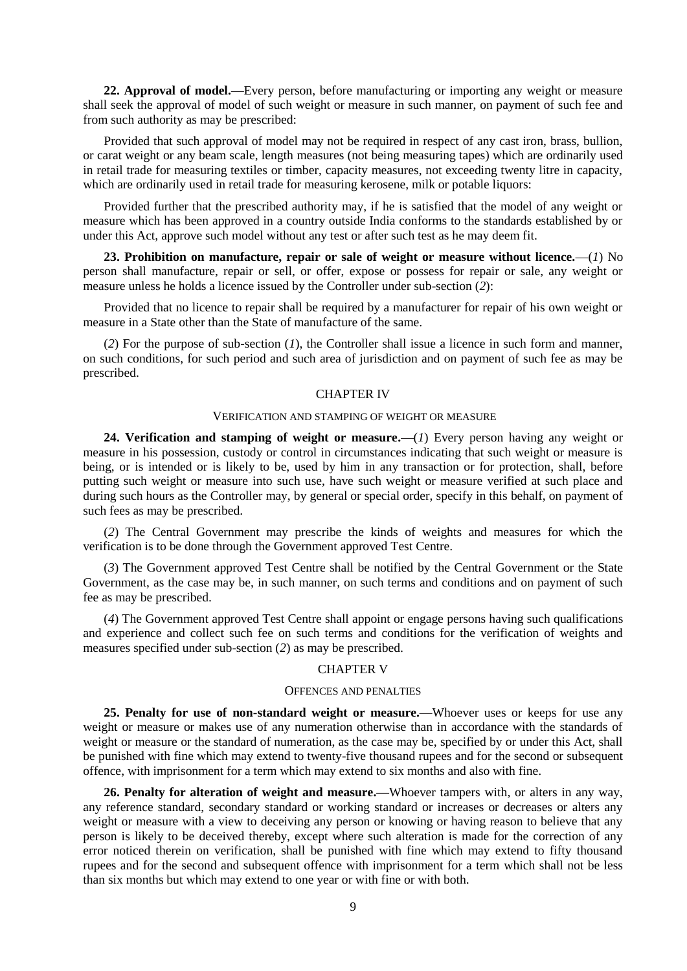**22. Approval of model.—**Every person, before manufacturing or importing any weight or measure shall seek the approval of model of such weight or measure in such manner, on payment of such fee and from such authority as may be prescribed:

Provided that such approval of model may not be required in respect of any cast iron, brass, bullion, or carat weight or any beam scale, length measures (not being measuring tapes) which are ordinarily used in retail trade for measuring textiles or timber, capacity measures, not exceeding twenty litre in capacity, which are ordinarily used in retail trade for measuring kerosene, milk or potable liquors:

Provided further that the prescribed authority may, if he is satisfied that the model of any weight or measure which has been approved in a country outside India conforms to the standards established by or under this Act, approve such model without any test or after such test as he may deem fit.

**23. Prohibition on manufacture, repair or sale of weight or measure without licence.—**(*1*) No person shall manufacture, repair or sell, or offer, expose or possess for repair or sale, any weight or measure unless he holds a licence issued by the Controller under sub-section (*2*):

Provided that no licence to repair shall be required by a manufacturer for repair of his own weight or measure in a State other than the State of manufacture of the same.

(*2*) For the purpose of sub-section (*1*), the Controller shall issue a licence in such form and manner, on such conditions, for such period and such area of jurisdiction and on payment of such fee as may be prescribed.

#### CHAPTER IV

#### VERIFICATION AND STAMPING OF WEIGHT OR MEASURE

**24. Verification and stamping of weight or measure.—**(*1*) Every person having any weight or measure in his possession, custody or control in circumstances indicating that such weight or measure is being, or is intended or is likely to be, used by him in any transaction or for protection, shall, before putting such weight or measure into such use, have such weight or measure verified at such place and during such hours as the Controller may, by general or special order, specify in this behalf, on payment of such fees as may be prescribed.

(*2*) The Central Government may prescribe the kinds of weights and measures for which the verification is to be done through the Government approved Test Centre.

(*3*) The Government approved Test Centre shall be notified by the Central Government or the State Government, as the case may be, in such manner, on such terms and conditions and on payment of such fee as may be prescribed.

(*4*) The Government approved Test Centre shall appoint or engage persons having such qualifications and experience and collect such fee on such terms and conditions for the verification of weights and measures specified under sub-section (*2*) as may be prescribed.

### CHAPTER V

### OFFENCES AND PENALTIES

**25. Penalty for use of non-standard weight or measure.—**Whoever uses or keeps for use any weight or measure or makes use of any numeration otherwise than in accordance with the standards of weight or measure or the standard of numeration, as the case may be, specified by or under this Act, shall be punished with fine which may extend to twenty-five thousand rupees and for the second or subsequent offence, with imprisonment for a term which may extend to six months and also with fine.

**26. Penalty for alteration of weight and measure.—**Whoever tampers with, or alters in any way, any reference standard, secondary standard or working standard or increases or decreases or alters any weight or measure with a view to deceiving any person or knowing or having reason to believe that any person is likely to be deceived thereby, except where such alteration is made for the correction of any error noticed therein on verification, shall be punished with fine which may extend to fifty thousand rupees and for the second and subsequent offence with imprisonment for a term which shall not be less than six months but which may extend to one year or with fine or with both.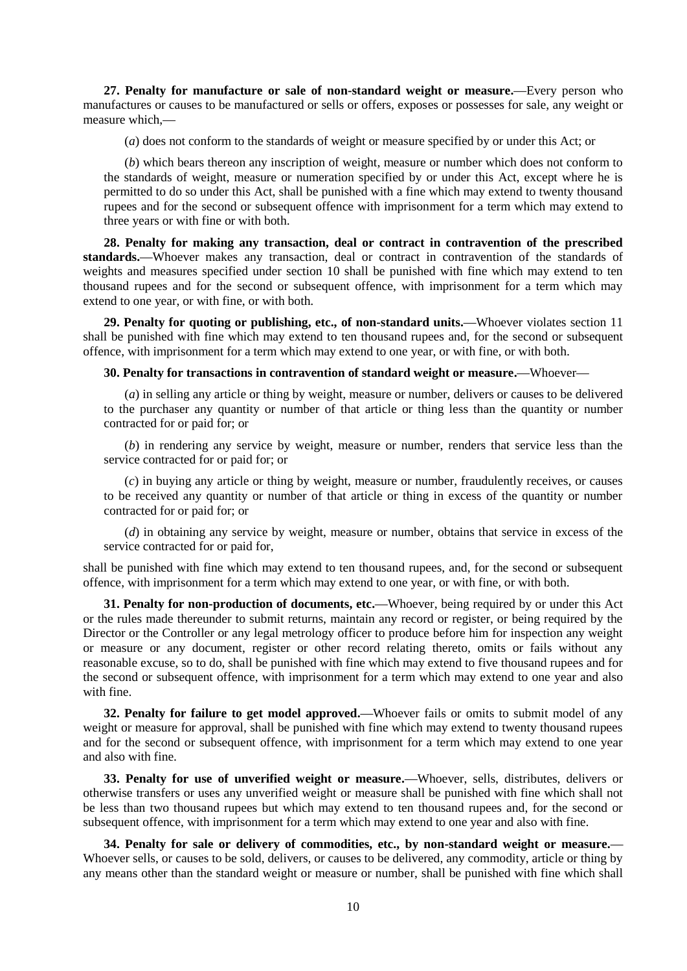**27. Penalty for manufacture or sale of non-standard weight or measure.—**Every person who manufactures or causes to be manufactured or sells or offers, exposes or possesses for sale, any weight or measure which,**—**

(*a*) does not conform to the standards of weight or measure specified by or under this Act; or

(*b*) which bears thereon any inscription of weight, measure or number which does not conform to the standards of weight, measure or numeration specified by or under this Act, except where he is permitted to do so under this Act, shall be punished with a fine which may extend to twenty thousand rupees and for the second or subsequent offence with imprisonment for a term which may extend to three years or with fine or with both.

**28. Penalty for making any transaction, deal or contract in contravention of the prescribed**  standards.—Whoever makes any transaction, deal or contract in contravention of the standards of weights and measures specified under section 10 shall be punished with fine which may extend to ten thousand rupees and for the second or subsequent offence, with imprisonment for a term which may extend to one year, or with fine, or with both.

**29. Penalty for quoting or publishing, etc., of non-standard units.—**Whoever violates section 11 shall be punished with fine which may extend to ten thousand rupees and, for the second or subsequent offence, with imprisonment for a term which may extend to one year, or with fine, or with both.

## **30. Penalty for transactions in contravention of standard weight or measure.—**Whoever**—**

(*a*) in selling any article or thing by weight, measure or number, delivers or causes to be delivered to the purchaser any quantity or number of that article or thing less than the quantity or number contracted for or paid for; or

(*b*) in rendering any service by weight, measure or number, renders that service less than the service contracted for or paid for; or

(*c*) in buying any article or thing by weight, measure or number, fraudulently receives, or causes to be received any quantity or number of that article or thing in excess of the quantity or number contracted for or paid for; or

(*d*) in obtaining any service by weight, measure or number, obtains that service in excess of the service contracted for or paid for,

shall be punished with fine which may extend to ten thousand rupees, and, for the second or subsequent offence, with imprisonment for a term which may extend to one year, or with fine, or with both.

**31. Penalty for non-production of documents, etc.—**Whoever, being required by or under this Act or the rules made thereunder to submit returns, maintain any record or register, or being required by the Director or the Controller or any legal metrology officer to produce before him for inspection any weight or measure or any document, register or other record relating thereto, omits or fails without any reasonable excuse, so to do, shall be punished with fine which may extend to five thousand rupees and for the second or subsequent offence, with imprisonment for a term which may extend to one year and also with fine.

**32. Penalty for failure to get model approved.—**Whoever fails or omits to submit model of any weight or measure for approval, shall be punished with fine which may extend to twenty thousand rupees and for the second or subsequent offence, with imprisonment for a term which may extend to one year and also with fine.

**33. Penalty for use of unverified weight or measure.—**Whoever, sells, distributes, delivers or otherwise transfers or uses any unverified weight or measure shall be punished with fine which shall not be less than two thousand rupees but which may extend to ten thousand rupees and, for the second or subsequent offence, with imprisonment for a term which may extend to one year and also with fine.

**34. Penalty for sale or delivery of commodities, etc., by non-standard weight or measure.—** Whoever sells, or causes to be sold, delivers, or causes to be delivered, any commodity, article or thing by any means other than the standard weight or measure or number, shall be punished with fine which shall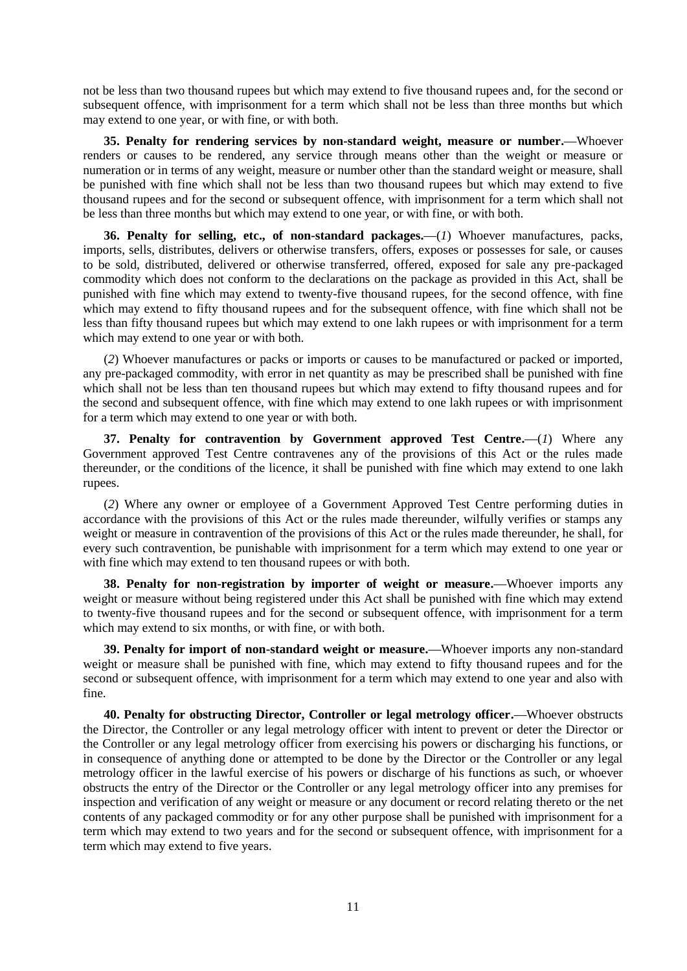not be less than two thousand rupees but which may extend to five thousand rupees and, for the second or subsequent offence, with imprisonment for a term which shall not be less than three months but which may extend to one year, or with fine, or with both.

**35. Penalty for rendering services by non-standard weight, measure or number.—**Whoever renders or causes to be rendered, any service through means other than the weight or measure or numeration or in terms of any weight, measure or number other than the standard weight or measure, shall be punished with fine which shall not be less than two thousand rupees but which may extend to five thousand rupees and for the second or subsequent offence, with imprisonment for a term which shall not be less than three months but which may extend to one year, or with fine, or with both.

**36. Penalty for selling, etc., of non-standard packages.—**(*1*) Whoever manufactures, packs, imports, sells, distributes, delivers or otherwise transfers, offers, exposes or possesses for sale, or causes to be sold, distributed, delivered or otherwise transferred, offered, exposed for sale any pre-packaged commodity which does not conform to the declarations on the package as provided in this Act, shall be punished with fine which may extend to twenty-five thousand rupees, for the second offence, with fine which may extend to fifty thousand rupees and for the subsequent offence, with fine which shall not be less than fifty thousand rupees but which may extend to one lakh rupees or with imprisonment for a term which may extend to one year or with both.

(*2*) Whoever manufactures or packs or imports or causes to be manufactured or packed or imported, any pre-packaged commodity, with error in net quantity as may be prescribed shall be punished with fine which shall not be less than ten thousand rupees but which may extend to fifty thousand rupees and for the second and subsequent offence, with fine which may extend to one lakh rupees or with imprisonment for a term which may extend to one year or with both.

**37. Penalty for contravention by Government approved Test Centre.—**(*1*) Where any Government approved Test Centre contravenes any of the provisions of this Act or the rules made thereunder, or the conditions of the licence, it shall be punished with fine which may extend to one lakh rupees.

(*2*) Where any owner or employee of a Government Approved Test Centre performing duties in accordance with the provisions of this Act or the rules made thereunder, wilfully verifies or stamps any weight or measure in contravention of the provisions of this Act or the rules made thereunder, he shall, for every such contravention, be punishable with imprisonment for a term which may extend to one year or with fine which may extend to ten thousand rupees or with both.

**38. Penalty for non-registration by importer of weight or measure.—**Whoever imports any weight or measure without being registered under this Act shall be punished with fine which may extend to twenty-five thousand rupees and for the second or subsequent offence, with imprisonment for a term which may extend to six months, or with fine, or with both.

**39. Penalty for import of non-standard weight or measure.—**Whoever imports any non-standard weight or measure shall be punished with fine, which may extend to fifty thousand rupees and for the second or subsequent offence, with imprisonment for a term which may extend to one year and also with fine.

**40. Penalty for obstructing Director, Controller or legal metrology officer.—**Whoever obstructs the Director, the Controller or any legal metrology officer with intent to prevent or deter the Director or the Controller or any legal metrology officer from exercising his powers or discharging his functions, or in consequence of anything done or attempted to be done by the Director or the Controller or any legal metrology officer in the lawful exercise of his powers or discharge of his functions as such, or whoever obstructs the entry of the Director or the Controller or any legal metrology officer into any premises for inspection and verification of any weight or measure or any document or record relating thereto or the net contents of any packaged commodity or for any other purpose shall be punished with imprisonment for a term which may extend to two years and for the second or subsequent offence, with imprisonment for a term which may extend to five years.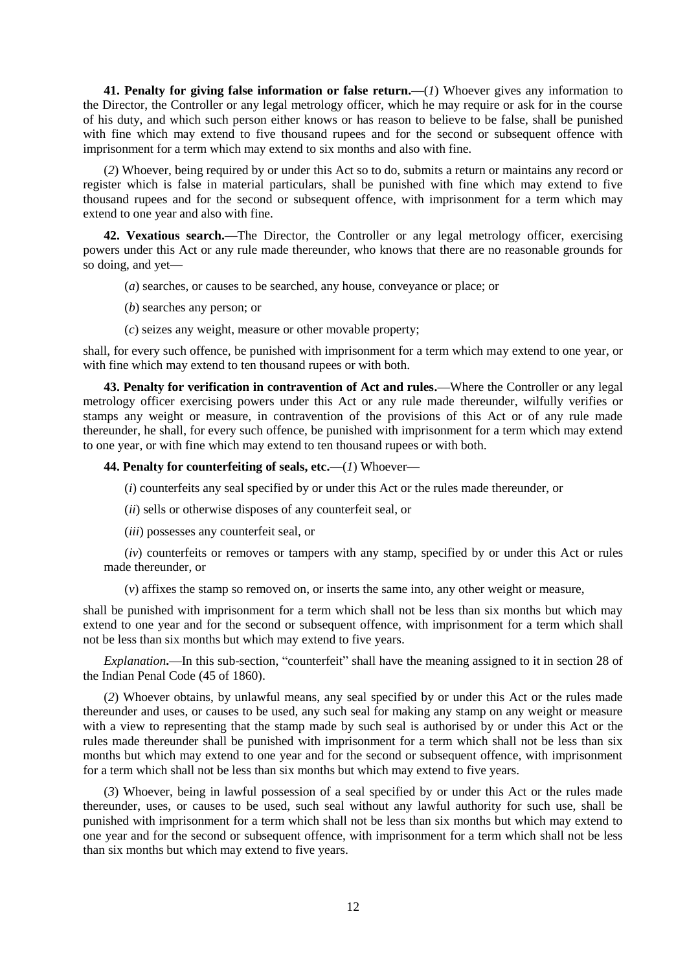**41. Penalty for giving false information or false return.—**(*1*) Whoever gives any information to the Director, the Controller or any legal metrology officer, which he may require or ask for in the course of his duty, and which such person either knows or has reason to believe to be false, shall be punished with fine which may extend to five thousand rupees and for the second or subsequent offence with imprisonment for a term which may extend to six months and also with fine.

(*2*) Whoever, being required by or under this Act so to do, submits a return or maintains any record or register which is false in material particulars, shall be punished with fine which may extend to five thousand rupees and for the second or subsequent offence, with imprisonment for a term which may extend to one year and also with fine.

**42. Vexatious search.—**The Director, the Controller or any legal metrology officer, exercising powers under this Act or any rule made thereunder, who knows that there are no reasonable grounds for so doing, and yet**—**

- (*a*) searches, or causes to be searched, any house, conveyance or place; or
- (*b*) searches any person; or
- (*c*) seizes any weight, measure or other movable property;

shall, for every such offence, be punished with imprisonment for a term which may extend to one year, or with fine which may extend to ten thousand rupees or with both.

**43. Penalty for verification in contravention of Act and rules.—**Where the Controller or any legal metrology officer exercising powers under this Act or any rule made thereunder, wilfully verifies or stamps any weight or measure, in contravention of the provisions of this Act or of any rule made thereunder, he shall, for every such offence, be punished with imprisonment for a term which may extend to one year, or with fine which may extend to ten thousand rupees or with both.

# **44. Penalty for counterfeiting of seals, etc.—**(*1*) Whoever**—**

(*i*) counterfeits any seal specified by or under this Act or the rules made thereunder, or

- (*ii*) sells or otherwise disposes of any counterfeit seal, or
- (*iii*) possesses any counterfeit seal, or

(*iv*) counterfeits or removes or tampers with any stamp, specified by or under this Act or rules made thereunder, or

(*v*) affixes the stamp so removed on, or inserts the same into, any other weight or measure,

shall be punished with imprisonment for a term which shall not be less than six months but which may extend to one year and for the second or subsequent offence, with imprisonment for a term which shall not be less than six months but which may extend to five years.

*Explanation***.—**In this sub-section, "counterfeit" shall have the meaning assigned to it in section 28 of the Indian Penal Code (45 of 1860).

(*2*) Whoever obtains, by unlawful means, any seal specified by or under this Act or the rules made thereunder and uses, or causes to be used, any such seal for making any stamp on any weight or measure with a view to representing that the stamp made by such seal is authorised by or under this Act or the rules made thereunder shall be punished with imprisonment for a term which shall not be less than six months but which may extend to one year and for the second or subsequent offence, with imprisonment for a term which shall not be less than six months but which may extend to five years.

(*3*) Whoever, being in lawful possession of a seal specified by or under this Act or the rules made thereunder, uses, or causes to be used, such seal without any lawful authority for such use, shall be punished with imprisonment for a term which shall not be less than six months but which may extend to one year and for the second or subsequent offence, with imprisonment for a term which shall not be less than six months but which may extend to five years.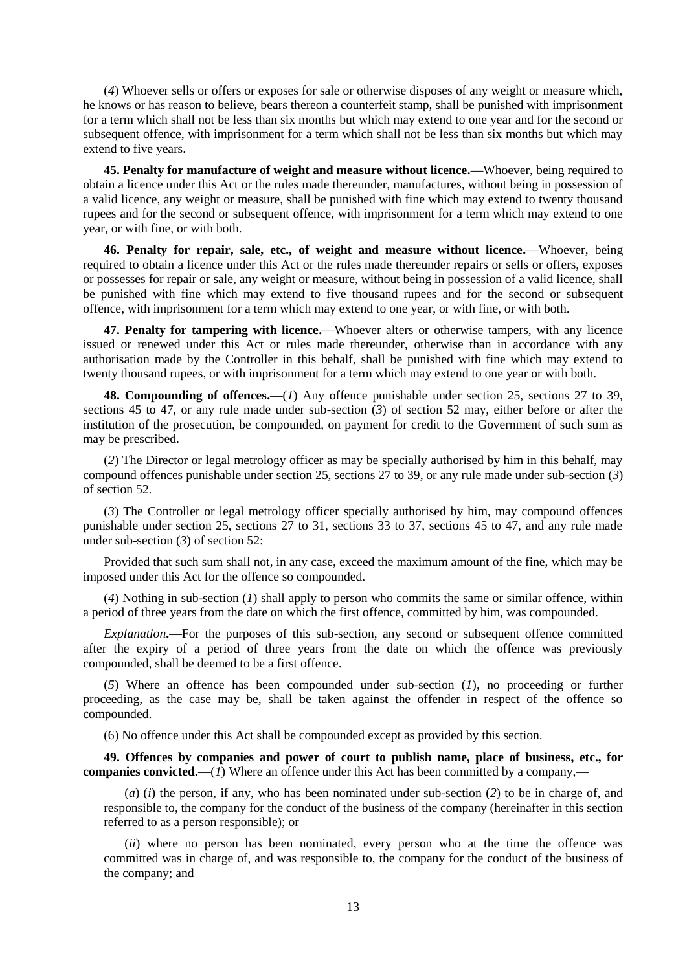(*4*) Whoever sells or offers or exposes for sale or otherwise disposes of any weight or measure which, he knows or has reason to believe, bears thereon a counterfeit stamp, shall be punished with imprisonment for a term which shall not be less than six months but which may extend to one year and for the second or subsequent offence, with imprisonment for a term which shall not be less than six months but which may extend to five years.

**45. Penalty for manufacture of weight and measure without licence.—**Whoever, being required to obtain a licence under this Act or the rules made thereunder, manufactures, without being in possession of a valid licence, any weight or measure, shall be punished with fine which may extend to twenty thousand rupees and for the second or subsequent offence, with imprisonment for a term which may extend to one year, or with fine, or with both.

**46. Penalty for repair, sale, etc., of weight and measure without licence.—**Whoever, being required to obtain a licence under this Act or the rules made thereunder repairs or sells or offers, exposes or possesses for repair or sale, any weight or measure, without being in possession of a valid licence, shall be punished with fine which may extend to five thousand rupees and for the second or subsequent offence, with imprisonment for a term which may extend to one year, or with fine, or with both.

**47. Penalty for tampering with licence.—**Whoever alters or otherwise tampers, with any licence issued or renewed under this Act or rules made thereunder, otherwise than in accordance with any authorisation made by the Controller in this behalf, shall be punished with fine which may extend to twenty thousand rupees, or with imprisonment for a term which may extend to one year or with both.

**48. Compounding of offences.—**(*1*) Any offence punishable under section 25, sections 27 to 39, sections 45 to 47, or any rule made under sub-section (*3*) of section 52 may, either before or after the institution of the prosecution, be compounded, on payment for credit to the Government of such sum as may be prescribed.

(*2*) The Director or legal metrology officer as may be specially authorised by him in this behalf, may compound offences punishable under section 25, sections 27 to 39, or any rule made under sub-section (*3*) of section 52.

(*3*) The Controller or legal metrology officer specially authorised by him, may compound offences punishable under section 25, sections 27 to 31, sections 33 to 37, sections 45 to 47, and any rule made under sub-section (*3*) of section 52:

Provided that such sum shall not, in any case, exceed the maximum amount of the fine, which may be imposed under this Act for the offence so compounded.

(*4*) Nothing in sub-section (*1*) shall apply to person who commits the same or similar offence, within a period of three years from the date on which the first offence, committed by him, was compounded.

*Explanation***.—**For the purposes of this sub-section, any second or subsequent offence committed after the expiry of a period of three years from the date on which the offence was previously compounded, shall be deemed to be a first offence.

(*5*) Where an offence has been compounded under sub-section (*1*), no proceeding or further proceeding, as the case may be, shall be taken against the offender in respect of the offence so compounded.

(6) No offence under this Act shall be compounded except as provided by this section.

**49. Offences by companies and power of court to publish name, place of business, etc., for companies convicted.—**(*1*) Where an offence under this Act has been committed by a company,**—**

(*a*) (*i*) the person, if any, who has been nominated under sub-section (*2*) to be in charge of, and responsible to, the company for the conduct of the business of the company (hereinafter in this section referred to as a person responsible); or

(*ii*) where no person has been nominated, every person who at the time the offence was committed was in charge of, and was responsible to, the company for the conduct of the business of the company; and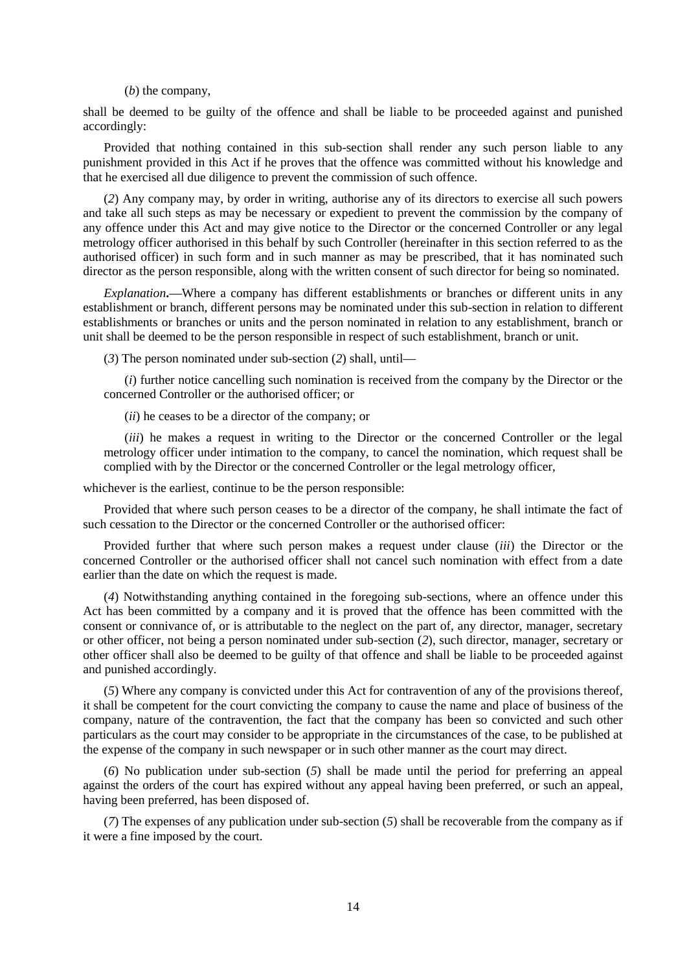#### (*b*) the company,

shall be deemed to be guilty of the offence and shall be liable to be proceeded against and punished accordingly:

Provided that nothing contained in this sub-section shall render any such person liable to any punishment provided in this Act if he proves that the offence was committed without his knowledge and that he exercised all due diligence to prevent the commission of such offence.

(*2*) Any company may, by order in writing, authorise any of its directors to exercise all such powers and take all such steps as may be necessary or expedient to prevent the commission by the company of any offence under this Act and may give notice to the Director or the concerned Controller or any legal metrology officer authorised in this behalf by such Controller (hereinafter in this section referred to as the authorised officer) in such form and in such manner as may be prescribed, that it has nominated such director as the person responsible, along with the written consent of such director for being so nominated.

*Explanation***.—**Where a company has different establishments or branches or different units in any establishment or branch, different persons may be nominated under this sub-section in relation to different establishments or branches or units and the person nominated in relation to any establishment, branch or unit shall be deemed to be the person responsible in respect of such establishment, branch or unit.

(*3*) The person nominated under sub-section (*2*) shall, until**—**

(*i*) further notice cancelling such nomination is received from the company by the Director or the concerned Controller or the authorised officer; or

(*ii*) he ceases to be a director of the company; or

(*iii*) he makes a request in writing to the Director or the concerned Controller or the legal metrology officer under intimation to the company, to cancel the nomination, which request shall be complied with by the Director or the concerned Controller or the legal metrology officer,

whichever is the earliest, continue to be the person responsible:

Provided that where such person ceases to be a director of the company, he shall intimate the fact of such cessation to the Director or the concerned Controller or the authorised officer:

Provided further that where such person makes a request under clause (*iii*) the Director or the concerned Controller or the authorised officer shall not cancel such nomination with effect from a date earlier than the date on which the request is made.

(*4*) Notwithstanding anything contained in the foregoing sub-sections, where an offence under this Act has been committed by a company and it is proved that the offence has been committed with the consent or connivance of, or is attributable to the neglect on the part of, any director, manager, secretary or other officer, not being a person nominated under sub-section (*2*), such director, manager, secretary or other officer shall also be deemed to be guilty of that offence and shall be liable to be proceeded against and punished accordingly.

(*5*) Where any company is convicted under this Act for contravention of any of the provisions thereof, it shall be competent for the court convicting the company to cause the name and place of business of the company, nature of the contravention, the fact that the company has been so convicted and such other particulars as the court may consider to be appropriate in the circumstances of the case, to be published at the expense of the company in such newspaper or in such other manner as the court may direct.

(*6*) No publication under sub-section (*5*) shall be made until the period for preferring an appeal against the orders of the court has expired without any appeal having been preferred, or such an appeal, having been preferred, has been disposed of.

(*7*) The expenses of any publication under sub-section (*5*) shall be recoverable from the company as if it were a fine imposed by the court.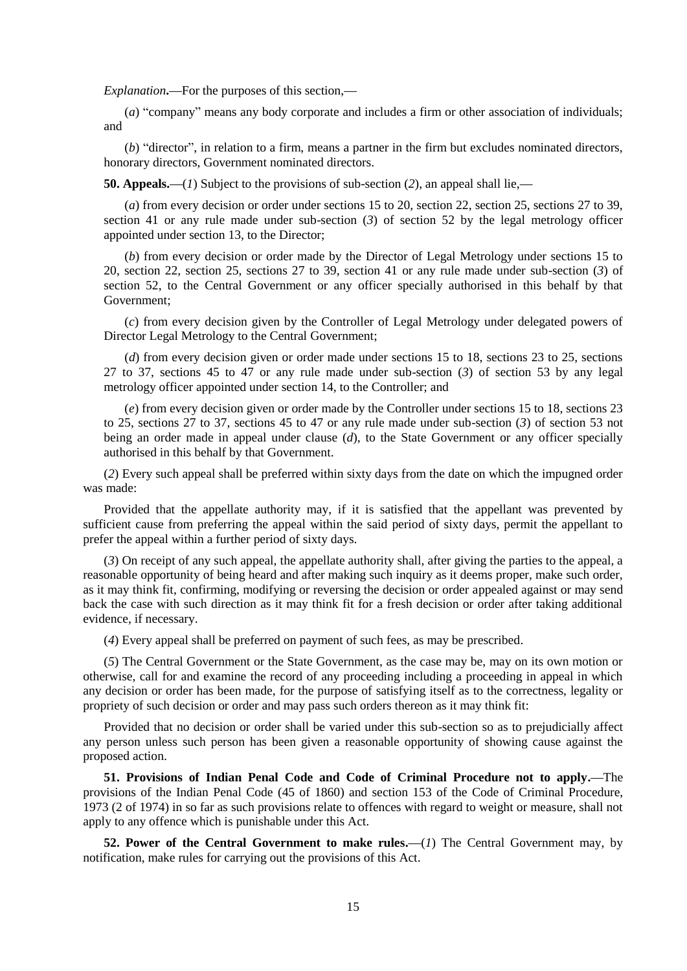*Explanation***.—**For the purposes of this section,**—**

(*a*) "company" means any body corporate and includes a firm or other association of individuals; and

(*b*) "director", in relation to a firm, means a partner in the firm but excludes nominated directors, honorary directors, Government nominated directors.

**50. Appeals.—**(*1*) Subject to the provisions of sub-section (*2*), an appeal shall lie,**—**

(*a*) from every decision or order under sections 15 to 20, section 22, section 25, sections 27 to 39, section 41 or any rule made under sub-section (*3*) of section 52 by the legal metrology officer appointed under section 13, to the Director;

(*b*) from every decision or order made by the Director of Legal Metrology under sections 15 to 20, section 22, section 25, sections 27 to 39, section 41 or any rule made under sub-section (*3*) of section 52, to the Central Government or any officer specially authorised in this behalf by that Government;

(*c*) from every decision given by the Controller of Legal Metrology under delegated powers of Director Legal Metrology to the Central Government;

(*d*) from every decision given or order made under sections 15 to 18, sections 23 to 25, sections 27 to 37, sections 45 to 47 or any rule made under sub-section (*3*) of section 53 by any legal metrology officer appointed under section 14, to the Controller; and

(*e*) from every decision given or order made by the Controller under sections 15 to 18, sections 23 to 25, sections 27 to 37, sections 45 to 47 or any rule made under sub-section (*3*) of section 53 not being an order made in appeal under clause (*d*), to the State Government or any officer specially authorised in this behalf by that Government.

(*2*) Every such appeal shall be preferred within sixty days from the date on which the impugned order was made:

Provided that the appellate authority may, if it is satisfied that the appellant was prevented by sufficient cause from preferring the appeal within the said period of sixty days, permit the appellant to prefer the appeal within a further period of sixty days.

(*3*) On receipt of any such appeal, the appellate authority shall, after giving the parties to the appeal, a reasonable opportunity of being heard and after making such inquiry as it deems proper, make such order, as it may think fit, confirming, modifying or reversing the decision or order appealed against or may send back the case with such direction as it may think fit for a fresh decision or order after taking additional evidence, if necessary.

(*4*) Every appeal shall be preferred on payment of such fees, as may be prescribed.

(*5*) The Central Government or the State Government, as the case may be, may on its own motion or otherwise, call for and examine the record of any proceeding including a proceeding in appeal in which any decision or order has been made, for the purpose of satisfying itself as to the correctness, legality or propriety of such decision or order and may pass such orders thereon as it may think fit:

Provided that no decision or order shall be varied under this sub-section so as to prejudicially affect any person unless such person has been given a reasonable opportunity of showing cause against the proposed action.

**51. Provisions of Indian Penal Code and Code of Criminal Procedure not to apply.—**The provisions of the Indian Penal Code (45 of 1860) and section 153 of the Code of Criminal Procedure, 1973 (2 of 1974) in so far as such provisions relate to offences with regard to weight or measure, shall not apply to any offence which is punishable under this Act.

**52. Power of the Central Government to make rules.—**(*1*) The Central Government may, by notification, make rules for carrying out the provisions of this Act.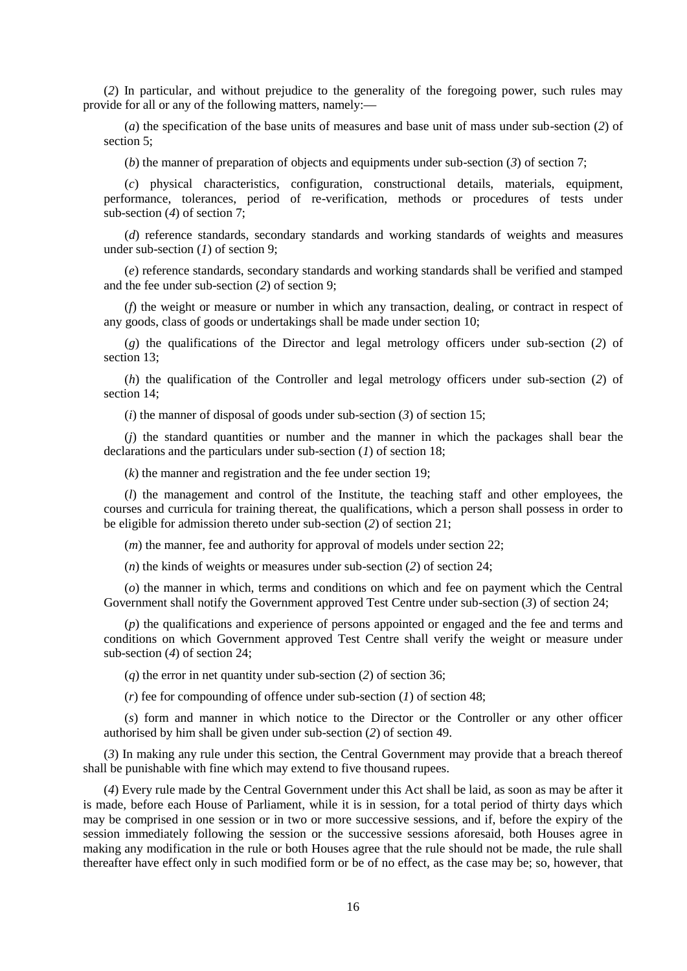(*2*) In particular, and without prejudice to the generality of the foregoing power, such rules may provide for all or any of the following matters, namely:**—**

(*a*) the specification of the base units of measures and base unit of mass under sub-section (*2*) of section 5;

(*b*) the manner of preparation of objects and equipments under sub-section (*3*) of section 7;

(*c*) physical characteristics, configuration, constructional details, materials, equipment, performance, tolerances, period of re-verification, methods or procedures of tests under sub-section (*4*) of section 7;

(*d*) reference standards, secondary standards and working standards of weights and measures under sub-section (*1*) of section 9;

(*e*) reference standards, secondary standards and working standards shall be verified and stamped and the fee under sub-section (*2*) of section 9;

(*f*) the weight or measure or number in which any transaction, dealing, or contract in respect of any goods, class of goods or undertakings shall be made under section 10;

(*g*) the qualifications of the Director and legal metrology officers under sub-section (*2*) of section 13;

(*h*) the qualification of the Controller and legal metrology officers under sub-section (*2*) of section 14;

(*i*) the manner of disposal of goods under sub-section (*3*) of section 15;

(*j*) the standard quantities or number and the manner in which the packages shall bear the declarations and the particulars under sub-section (*1*) of section 18;

(*k*) the manner and registration and the fee under section 19;

(*l*) the management and control of the Institute, the teaching staff and other employees, the courses and curricula for training thereat, the qualifications, which a person shall possess in order to be eligible for admission thereto under sub-section (*2*) of section 21;

(*m*) the manner, fee and authority for approval of models under section 22;

(*n*) the kinds of weights or measures under sub-section (*2*) of section 24;

(*o*) the manner in which, terms and conditions on which and fee on payment which the Central Government shall notify the Government approved Test Centre under sub-section (*3*) of section 24;

(*p*) the qualifications and experience of persons appointed or engaged and the fee and terms and conditions on which Government approved Test Centre shall verify the weight or measure under sub-section (*4*) of section 24;

(*q*) the error in net quantity under sub-section (*2*) of section 36;

(*r*) fee for compounding of offence under sub-section (*1*) of section 48;

(*s*) form and manner in which notice to the Director or the Controller or any other officer authorised by him shall be given under sub-section (*2*) of section 49.

(*3*) In making any rule under this section, the Central Government may provide that a breach thereof shall be punishable with fine which may extend to five thousand rupees.

(*4*) Every rule made by the Central Government under this Act shall be laid, as soon as may be after it is made, before each House of Parliament, while it is in session, for a total period of thirty days which may be comprised in one session or in two or more successive sessions, and if, before the expiry of the session immediately following the session or the successive sessions aforesaid, both Houses agree in making any modification in the rule or both Houses agree that the rule should not be made, the rule shall thereafter have effect only in such modified form or be of no effect, as the case may be; so, however, that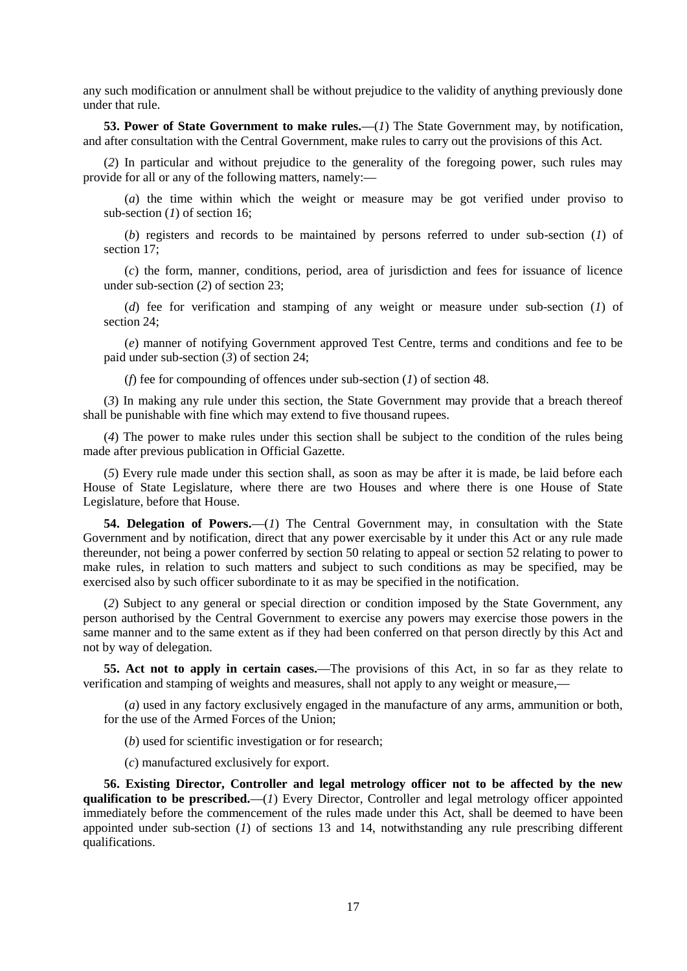any such modification or annulment shall be without prejudice to the validity of anything previously done under that rule.

**53. Power of State Government to make rules.—**(*1*) The State Government may, by notification, and after consultation with the Central Government, make rules to carry out the provisions of this Act.

(*2*) In particular and without prejudice to the generality of the foregoing power, such rules may provide for all or any of the following matters, namely:**—**

(*a*) the time within which the weight or measure may be got verified under proviso to sub-section (*1*) of section 16;

(*b*) registers and records to be maintained by persons referred to under sub-section (*1*) of section 17;

(*c*) the form, manner, conditions, period, area of jurisdiction and fees for issuance of licence under sub-section (*2*) of section 23;

(*d*) fee for verification and stamping of any weight or measure under sub-section (*1*) of section 24;

(*e*) manner of notifying Government approved Test Centre, terms and conditions and fee to be paid under sub-section (*3*) of section 24;

(*f*) fee for compounding of offences under sub-section (*1*) of section 48.

(*3*) In making any rule under this section, the State Government may provide that a breach thereof shall be punishable with fine which may extend to five thousand rupees.

(*4*) The power to make rules under this section shall be subject to the condition of the rules being made after previous publication in Official Gazette.

(*5*) Every rule made under this section shall, as soon as may be after it is made, be laid before each House of State Legislature, where there are two Houses and where there is one House of State Legislature, before that House.

**54. Delegation of Powers.—**(*1*) The Central Government may, in consultation with the State Government and by notification, direct that any power exercisable by it under this Act or any rule made thereunder, not being a power conferred by section 50 relating to appeal or section 52 relating to power to make rules, in relation to such matters and subject to such conditions as may be specified, may be exercised also by such officer subordinate to it as may be specified in the notification.

(*2*) Subject to any general or special direction or condition imposed by the State Government, any person authorised by the Central Government to exercise any powers may exercise those powers in the same manner and to the same extent as if they had been conferred on that person directly by this Act and not by way of delegation.

**55. Act not to apply in certain cases.—**The provisions of this Act, in so far as they relate to verification and stamping of weights and measures, shall not apply to any weight or measure,**—**

(*a*) used in any factory exclusively engaged in the manufacture of any arms, ammunition or both, for the use of the Armed Forces of the Union;

(*b*) used for scientific investigation or for research;

(*c*) manufactured exclusively for export.

**56. Existing Director, Controller and legal metrology officer not to be affected by the new qualification to be prescribed.—**(*1*) Every Director, Controller and legal metrology officer appointed immediately before the commencement of the rules made under this Act, shall be deemed to have been appointed under sub-section (*1*) of sections 13 and 14, notwithstanding any rule prescribing different qualifications.